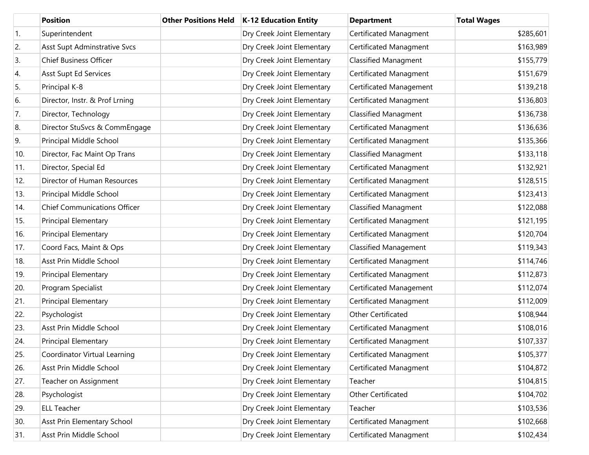|     | <b>Position</b>                     | <b>Other Positions Held</b> | K-12 Education Entity      | <b>Department</b>            | <b>Total Wages</b> |
|-----|-------------------------------------|-----------------------------|----------------------------|------------------------------|--------------------|
| 1.  | Superintendent                      |                             | Dry Creek Joint Elementary | Certificated Managment       | \$285,601          |
| 2.  | Asst Supt Adminstrative Svcs        |                             | Dry Creek Joint Elementary | Certificated Managment       | \$163,989          |
| 3.  | <b>Chief Business Officer</b>       |                             | Dry Creek Joint Elementary | <b>Classified Managment</b>  | \$155,779          |
| 4.  | Asst Supt Ed Services               |                             | Dry Creek Joint Elementary | Certificated Managment       | \$151,679          |
| 5.  | Principal K-8                       |                             | Dry Creek Joint Elementary | Certificated Management      | \$139,218          |
| 6.  | Director, Instr. & Prof Lrning      |                             | Dry Creek Joint Elementary | Certificated Managment       | \$136,803          |
| 7.  | Director, Technology                |                             | Dry Creek Joint Elementary | <b>Classified Managment</b>  | \$136,738          |
| 8.  | Director StuSvcs & CommEngage       |                             | Dry Creek Joint Elementary | Certificated Managment       | \$136,636          |
| 9.  | Principal Middle School             |                             | Dry Creek Joint Elementary | Certificated Managment       | \$135,366          |
| 10. | Director, Fac Maint Op Trans        |                             | Dry Creek Joint Elementary | <b>Classified Managment</b>  | \$133,118          |
| 11. | Director, Special Ed                |                             | Dry Creek Joint Elementary | Certificated Managment       | \$132,921          |
| 12. | Director of Human Resources         |                             | Dry Creek Joint Elementary | Certificated Managment       | \$128,515          |
| 13. | Principal Middle School             |                             | Dry Creek Joint Elementary | Certificated Managment       | \$123,413          |
| 14. | <b>Chief Communications Officer</b> |                             | Dry Creek Joint Elementary | <b>Classified Managment</b>  | \$122,088          |
| 15. | Principal Elementary                |                             | Dry Creek Joint Elementary | Certificated Managment       | \$121,195          |
| 16. | Principal Elementary                |                             | Dry Creek Joint Elementary | Certificated Managment       | \$120,704          |
| 17. | Coord Facs, Maint & Ops             |                             | Dry Creek Joint Elementary | <b>Classified Management</b> | \$119,343          |
| 18. | Asst Prin Middle School             |                             | Dry Creek Joint Elementary | Certificated Managment       | \$114,746          |
| 19. | Principal Elementary                |                             | Dry Creek Joint Elementary | Certificated Managment       | \$112,873          |
| 20. | Program Specialist                  |                             | Dry Creek Joint Elementary | Certificated Management      | \$112,074          |
| 21. | Principal Elementary                |                             | Dry Creek Joint Elementary | Certificated Managment       | \$112,009          |
| 22. | Psychologist                        |                             | Dry Creek Joint Elementary | Other Certificated           | \$108,944          |
| 23. | Asst Prin Middle School             |                             | Dry Creek Joint Elementary | Certificated Managment       | \$108,016          |
| 24. | <b>Principal Elementary</b>         |                             | Dry Creek Joint Elementary | Certificated Managment       | \$107,337          |
| 25. | Coordinator Virtual Learning        |                             | Dry Creek Joint Elementary | Certificated Managment       | \$105,377          |
| 26. | Asst Prin Middle School             |                             | Dry Creek Joint Elementary | Certificated Managment       | \$104,872          |
| 27. | Teacher on Assignment               |                             | Dry Creek Joint Elementary | Teacher                      | \$104,815          |
| 28. | Psychologist                        |                             | Dry Creek Joint Elementary | Other Certificated           | \$104,702          |
| 29. | <b>ELL Teacher</b>                  |                             | Dry Creek Joint Elementary | Teacher                      | \$103,536          |
| 30. | Asst Prin Elementary School         |                             | Dry Creek Joint Elementary | Certificated Managment       | \$102,668          |
| 31. | Asst Prin Middle School             |                             | Dry Creek Joint Elementary | Certificated Managment       | \$102,434          |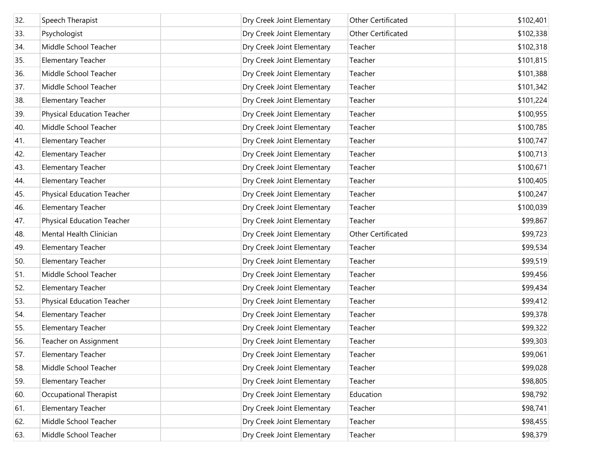| 32. | Speech Therapist                  | Dry Creek Joint Elementary | Other Certificated | \$102,401 |
|-----|-----------------------------------|----------------------------|--------------------|-----------|
| 33. | Psychologist                      | Dry Creek Joint Elementary | Other Certificated | \$102,338 |
| 34. | Middle School Teacher             | Dry Creek Joint Elementary | Teacher            | \$102,318 |
| 35. | <b>Elementary Teacher</b>         | Dry Creek Joint Elementary | Teacher            | \$101,815 |
| 36. | Middle School Teacher             | Dry Creek Joint Elementary | Teacher            | \$101,388 |
| 37. | Middle School Teacher             | Dry Creek Joint Elementary | Teacher            | \$101,342 |
| 38. | <b>Elementary Teacher</b>         | Dry Creek Joint Elementary | Teacher            | \$101,224 |
| 39. | <b>Physical Education Teacher</b> | Dry Creek Joint Elementary | Teacher            | \$100,955 |
| 40. | Middle School Teacher             | Dry Creek Joint Elementary | Teacher            | \$100,785 |
| 41. | <b>Elementary Teacher</b>         | Dry Creek Joint Elementary | Teacher            | \$100,747 |
| 42. | <b>Elementary Teacher</b>         | Dry Creek Joint Elementary | Teacher            | \$100,713 |
| 43. | <b>Elementary Teacher</b>         | Dry Creek Joint Elementary | Teacher            | \$100,671 |
| 44. | <b>Elementary Teacher</b>         | Dry Creek Joint Elementary | Teacher            | \$100,405 |
| 45. | <b>Physical Education Teacher</b> | Dry Creek Joint Elementary | Teacher            | \$100,247 |
| 46. | <b>Elementary Teacher</b>         | Dry Creek Joint Elementary | Teacher            | \$100,039 |
| 47. | <b>Physical Education Teacher</b> | Dry Creek Joint Elementary | Teacher            | \$99,867  |
| 48. | Mental Health Clinician           | Dry Creek Joint Elementary | Other Certificated | \$99,723  |
| 49. | <b>Elementary Teacher</b>         | Dry Creek Joint Elementary | Teacher            | \$99,534  |
| 50. | <b>Elementary Teacher</b>         | Dry Creek Joint Elementary | Teacher            | \$99,519  |
| 51. | Middle School Teacher             | Dry Creek Joint Elementary | Teacher            | \$99,456  |
| 52. | <b>Elementary Teacher</b>         | Dry Creek Joint Elementary | Teacher            | \$99,434  |
| 53. | <b>Physical Education Teacher</b> | Dry Creek Joint Elementary | Teacher            | \$99,412  |
| 54. | <b>Elementary Teacher</b>         | Dry Creek Joint Elementary | Teacher            | \$99,378  |
| 55. | <b>Elementary Teacher</b>         | Dry Creek Joint Elementary | Teacher            | \$99,322  |
| 56. | Teacher on Assignment             | Dry Creek Joint Elementary | Teacher            | \$99,303  |
| 57. | <b>Elementary Teacher</b>         | Dry Creek Joint Elementary | Teacher            | \$99,061  |
| 58. | Middle School Teacher             | Dry Creek Joint Elementary | Teacher            | \$99,028  |
| 59. | <b>Elementary Teacher</b>         | Dry Creek Joint Elementary | Teacher            | \$98,805  |
| 60. | Occupational Therapist            | Dry Creek Joint Elementary | Education          | \$98,792  |
| 61. | <b>Elementary Teacher</b>         | Dry Creek Joint Elementary | Teacher            | \$98,741  |
| 62. | Middle School Teacher             | Dry Creek Joint Elementary | Teacher            | \$98,455  |
| 63. | Middle School Teacher             | Dry Creek Joint Elementary | Teacher            | \$98,379  |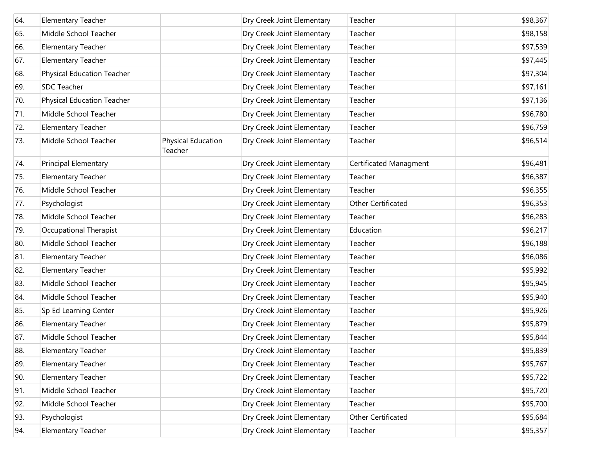| 64. | <b>Elementary Teacher</b>         |                               | Dry Creek Joint Elementary | Teacher                | \$98,367 |
|-----|-----------------------------------|-------------------------------|----------------------------|------------------------|----------|
| 65. | Middle School Teacher             |                               | Dry Creek Joint Elementary | Teacher                | \$98,158 |
| 66. | <b>Elementary Teacher</b>         |                               | Dry Creek Joint Elementary | Teacher                | \$97,539 |
| 67. | <b>Elementary Teacher</b>         |                               | Dry Creek Joint Elementary | Teacher                | \$97,445 |
| 68. | Physical Education Teacher        |                               | Dry Creek Joint Elementary | Teacher                | \$97,304 |
| 69. | <b>SDC Teacher</b>                |                               | Dry Creek Joint Elementary | Teacher                | \$97,161 |
| 70. | <b>Physical Education Teacher</b> |                               | Dry Creek Joint Elementary | Teacher                | \$97,136 |
| 71. | Middle School Teacher             |                               | Dry Creek Joint Elementary | Teacher                | \$96,780 |
| 72. | <b>Elementary Teacher</b>         |                               | Dry Creek Joint Elementary | Teacher                | \$96,759 |
| 73. | Middle School Teacher             | Physical Education<br>Teacher | Dry Creek Joint Elementary | Teacher                | \$96,514 |
| 74. | Principal Elementary              |                               | Dry Creek Joint Elementary | Certificated Managment | \$96,481 |
| 75. | <b>Elementary Teacher</b>         |                               | Dry Creek Joint Elementary | Teacher                | \$96,387 |
| 76. | Middle School Teacher             |                               | Dry Creek Joint Elementary | Teacher                | \$96,355 |
| 77. | Psychologist                      |                               | Dry Creek Joint Elementary | Other Certificated     | \$96,353 |
| 78. | Middle School Teacher             |                               | Dry Creek Joint Elementary | Teacher                | \$96,283 |
| 79. | Occupational Therapist            |                               | Dry Creek Joint Elementary | Education              | \$96,217 |
| 80. | Middle School Teacher             |                               | Dry Creek Joint Elementary | Teacher                | \$96,188 |
| 81. | <b>Elementary Teacher</b>         |                               | Dry Creek Joint Elementary | Teacher                | \$96,086 |
| 82. | <b>Elementary Teacher</b>         |                               | Dry Creek Joint Elementary | Teacher                | \$95,992 |
| 83. | Middle School Teacher             |                               | Dry Creek Joint Elementary | Teacher                | \$95,945 |
| 84. | Middle School Teacher             |                               | Dry Creek Joint Elementary | Teacher                | \$95,940 |
| 85. | Sp Ed Learning Center             |                               | Dry Creek Joint Elementary | Teacher                | \$95,926 |
| 86. | <b>Elementary Teacher</b>         |                               | Dry Creek Joint Elementary | Teacher                | \$95,879 |
| 87. | Middle School Teacher             |                               | Dry Creek Joint Elementary | Teacher                | \$95,844 |
| 88. | Elementary Teacher                |                               | Dry Creek Joint Elementary | Teacher                | \$95,839 |
| 89. | <b>Elementary Teacher</b>         |                               | Dry Creek Joint Elementary | Teacher                | \$95,767 |
| 90. | <b>Elementary Teacher</b>         |                               | Dry Creek Joint Elementary | Teacher                | \$95,722 |
| 91. | Middle School Teacher             |                               | Dry Creek Joint Elementary | Teacher                | \$95,720 |
| 92. | Middle School Teacher             |                               | Dry Creek Joint Elementary | Teacher                | \$95,700 |
| 93. | Psychologist                      |                               | Dry Creek Joint Elementary | Other Certificated     | \$95,684 |
| 94. | Elementary Teacher                |                               | Dry Creek Joint Elementary | Teacher                | \$95,357 |